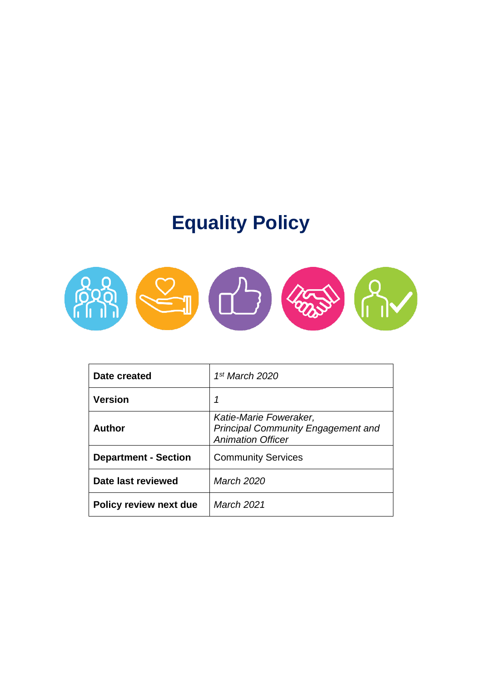# **Equality Policy**



| Date created                | 1 <sup>st</sup> March 2020                                                                      |
|-----------------------------|-------------------------------------------------------------------------------------------------|
| <b>Version</b>              | 1                                                                                               |
| <b>Author</b>               | Katie-Marie Foweraker,<br><b>Principal Community Engagement and</b><br><b>Animation Officer</b> |
| <b>Department - Section</b> | <b>Community Services</b>                                                                       |
| Date last reviewed          | March 2020                                                                                      |
| Policy review next due      | March 2021                                                                                      |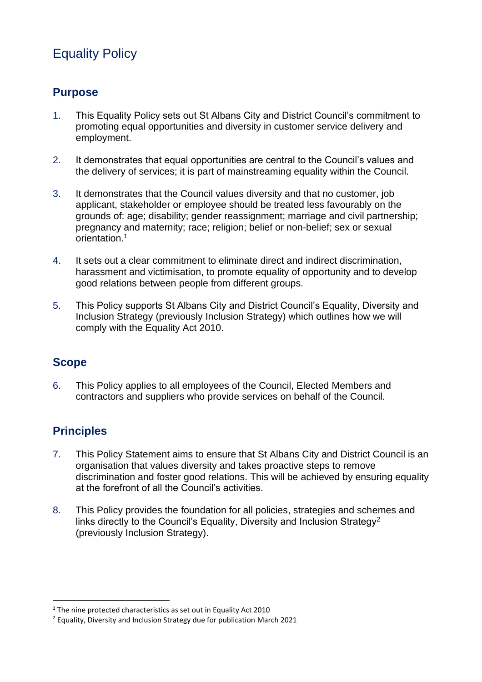## Equality Policy

#### **Purpose**

- 1. This Equality Policy sets out St Albans City and District Council's commitment to promoting equal opportunities and diversity in customer service delivery and employment.
- 2. It demonstrates that equal opportunities are central to the Council's values and the delivery of services; it is part of mainstreaming equality within the Council.
- 3. It demonstrates that the Council values diversity and that no customer, job applicant, stakeholder or employee should be treated less favourably on the grounds of: age; disability; gender reassignment; marriage and civil partnership; pregnancy and maternity; race; religion; belief or non-belief; sex or sexual orientation.<sup>1</sup>
- 4. It sets out a clear commitment to eliminate direct and indirect discrimination, harassment and victimisation, to promote equality of opportunity and to develop good relations between people from different groups.
- 5. This Policy supports St Albans City and District Council's Equality, Diversity and Inclusion Strategy (previously Inclusion Strategy) which outlines how we will comply with the Equality Act 2010.

### **Scope**

6. This Policy applies to all employees of the Council, Elected Members and contractors and suppliers who provide services on behalf of the Council.

## **Principles**

- 7. This Policy Statement aims to ensure that St Albans City and District Council is an organisation that values diversity and takes proactive steps to remove discrimination and foster good relations. This will be achieved by ensuring equality at the forefront of all the Council's activities.
- 8. This Policy provides the foundation for all policies, strategies and schemes and links directly to the Council's Equality, Diversity and Inclusion Strategy<sup>2</sup> (previously Inclusion Strategy).

<sup>&</sup>lt;sup>1</sup> The nine protected characteristics as set out in Equality Act 2010

<sup>&</sup>lt;sup>2</sup> Equality, Diversity and Inclusion Strategy due for publication March 2021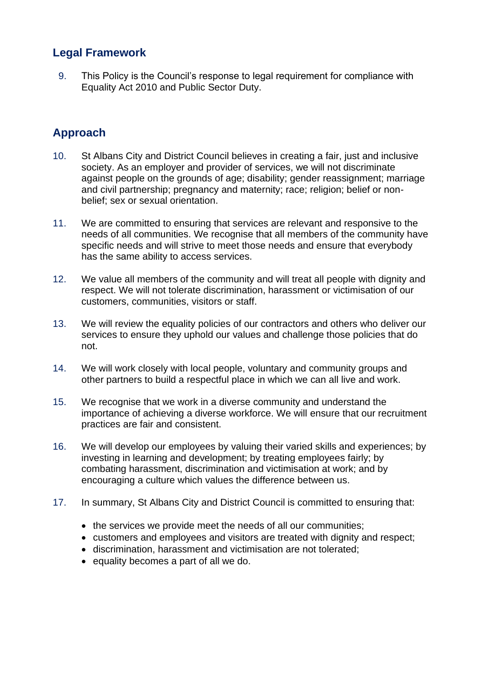## **Legal Framework**

9. This Policy is the Council's response to legal requirement for compliance with Equality Act 2010 and Public Sector Duty.

## **Approach**

- 10. St Albans City and District Council believes in creating a fair, just and inclusive society. As an employer and provider of services, we will not discriminate against people on the grounds of age; disability; gender reassignment; marriage and civil partnership; pregnancy and maternity; race; religion; belief or nonbelief; sex or sexual orientation.
- 11. We are committed to ensuring that services are relevant and responsive to the needs of all communities. We recognise that all members of the community have specific needs and will strive to meet those needs and ensure that everybody has the same ability to access services.
- 12. We value all members of the community and will treat all people with dignity and respect. We will not tolerate discrimination, harassment or victimisation of our customers, communities, visitors or staff.
- 13. We will review the equality policies of our contractors and others who deliver our services to ensure they uphold our values and challenge those policies that do not.
- 14. We will work closely with local people, voluntary and community groups and other partners to build a respectful place in which we can all live and work.
- 15. We recognise that we work in a diverse community and understand the importance of achieving a diverse workforce. We will ensure that our recruitment practices are fair and consistent.
- 16. We will develop our employees by valuing their varied skills and experiences; by investing in learning and development; by treating employees fairly; by combating harassment, discrimination and victimisation at work; and by encouraging a culture which values the difference between us.
- 17. In summary, St Albans City and District Council is committed to ensuring that:
	- the services we provide meet the needs of all our communities;
	- customers and employees and visitors are treated with dignity and respect;
	- discrimination, harassment and victimisation are not tolerated;
	- equality becomes a part of all we do.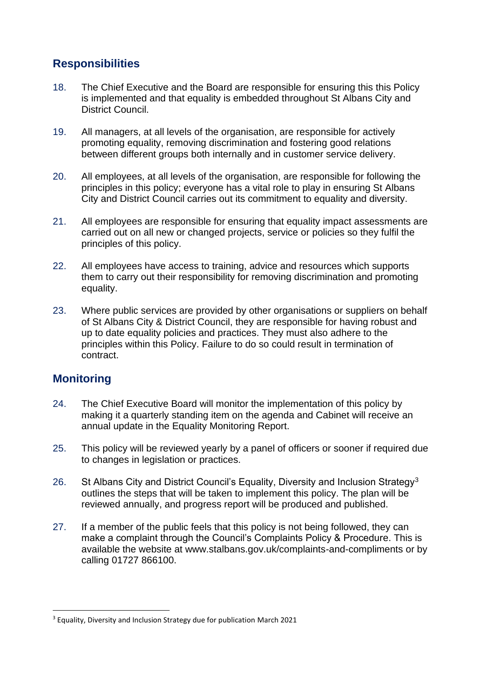## **Responsibilities**

- 18. The Chief Executive and the Board are responsible for ensuring this this Policy is implemented and that equality is embedded throughout St Albans City and District Council.
- 19. All managers, at all levels of the organisation, are responsible for actively promoting equality, removing discrimination and fostering good relations between different groups both internally and in customer service delivery.
- 20. All employees, at all levels of the organisation, are responsible for following the principles in this policy; everyone has a vital role to play in ensuring St Albans City and District Council carries out its commitment to equality and diversity.
- 21. All employees are responsible for ensuring that equality impact assessments are carried out on all new or changed projects, service or policies so they fulfil the principles of this policy.
- 22. All employees have access to training, advice and resources which supports them to carry out their responsibility for removing discrimination and promoting equality.
- 23. Where public services are provided by other organisations or suppliers on behalf of St Albans City & District Council, they are responsible for having robust and up to date equality policies and practices. They must also adhere to the principles within this Policy. Failure to do so could result in termination of contract.

### **Monitoring**

- 24. The Chief Executive Board will monitor the implementation of this policy by making it a quarterly standing item on the agenda and Cabinet will receive an annual update in the Equality Monitoring Report.
- 25. This policy will be reviewed yearly by a panel of officers or sooner if required due to changes in legislation or practices.
- 26. St Albans City and District Council's Equality, Diversity and Inclusion Strategy<sup>3</sup> outlines the steps that will be taken to implement this policy. The plan will be reviewed annually, and progress report will be produced and published.
- 27. If a member of the public feels that this policy is not being followed, they can make a complaint through the Council's Complaints Policy & Procedure. This is available the website at www.stalbans.gov.uk/complaints-and-compliments or by calling 01727 866100.

<sup>&</sup>lt;sup>3</sup> Equality, Diversity and Inclusion Strategy due for publication March 2021